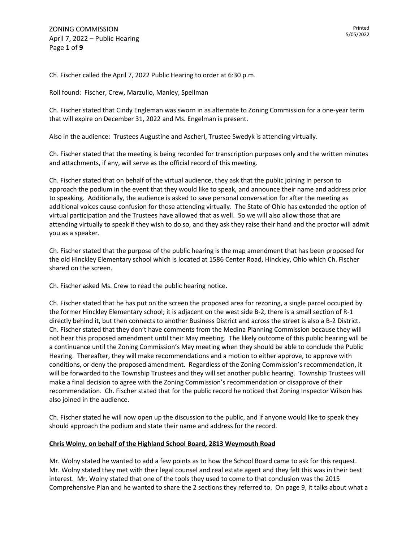Ch. Fischer called the April 7, 2022 Public Hearing to order at 6:30 p.m.

Roll found: Fischer, Crew, Marzullo, Manley, Spellman

Ch. Fischer stated that Cindy Engleman was sworn in as alternate to Zoning Commission for a one-year term that will expire on December 31, 2022 and Ms. Engelman is present.

Also in the audience: Trustees Augustine and Ascherl, Trustee Swedyk is attending virtually.

Ch. Fischer stated that the meeting is being recorded for transcription purposes only and the written minutes and attachments, if any, will serve as the official record of this meeting.

Ch. Fischer stated that on behalf of the virtual audience, they ask that the public joining in person to approach the podium in the event that they would like to speak, and announce their name and address prior to speaking. Additionally, the audience is asked to save personal conversation for after the meeting as additional voices cause confusion for those attending virtually. The State of Ohio has extended the option of virtual participation and the Trustees have allowed that as well. So we will also allow those that are attending virtually to speak if they wish to do so, and they ask they raise their hand and the proctor will admit you as a speaker.

Ch. Fischer stated that the purpose of the public hearing is the map amendment that has been proposed for the old Hinckley Elementary school which is located at 1586 Center Road, Hinckley, Ohio which Ch. Fischer shared on the screen.

Ch. Fischer asked Ms. Crew to read the public hearing notice.

Ch. Fischer stated that he has put on the screen the proposed area for rezoning, a single parcel occupied by the former Hinckley Elementary school; it is adjacent on the west side B-2, there is a small section of R-1 directly behind it, but then connects to another Business District and across the street is also a B-2 District. Ch. Fischer stated that they don't have comments from the Medina Planning Commission because they will not hear this proposed amendment until their May meeting. The likely outcome of this public hearing will be a continuance until the Zoning Commission's May meeting when they should be able to conclude the Public Hearing. Thereafter, they will make recommendations and a motion to either approve, to approve with conditions, or deny the proposed amendment. Regardless of the Zoning Commission's recommendation, it will be forwarded to the Township Trustees and they will set another public hearing. Township Trustees will make a final decision to agree with the Zoning Commission's recommendation or disapprove of their recommendation. Ch. Fischer stated that for the public record he noticed that Zoning Inspector Wilson has also joined in the audience.

Ch. Fischer stated he will now open up the discussion to the public, and if anyone would like to speak they should approach the podium and state their name and address for the record.

#### **Chris Wolny, on behalf of the Highland School Board, 2813 Weymouth Road**

Mr. Wolny stated he wanted to add a few points as to how the School Board came to ask for this request. Mr. Wolny stated they met with their legal counsel and real estate agent and they felt this was in their best interest. Mr. Wolny stated that one of the tools they used to come to that conclusion was the 2015 Comprehensive Plan and he wanted to share the 2 sections they referred to. On page 9, it talks about what a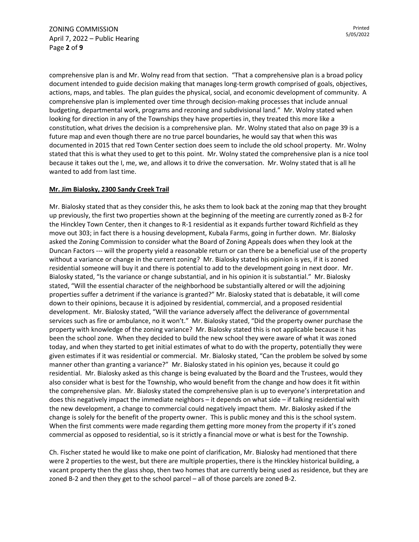comprehensive plan is and Mr. Wolny read from that section. "That a comprehensive plan is a broad policy document intended to guide decision making that manages long-term growth comprised of goals, objectives, actions, maps, and tables. The plan guides the physical, social, and economic development of community. A comprehensive plan is implemented over time through decision-making processes that include annual budgeting, departmental work, programs and rezoning and subdivisional land." Mr. Wolny stated when looking for direction in any of the Townships they have properties in, they treated this more like a constitution, what drives the decision is a comprehensive plan. Mr. Wolny stated that also on page 39 is a future map and even though there are no true parcel boundaries, he would say that when this was documented in 2015 that red Town Center section does seem to include the old school property. Mr. Wolny stated that this is what they used to get to this point. Mr. Wolny stated the comprehensive plan is a nice tool because it takes out the I, me, we, and allows it to drive the conversation. Mr. Wolny stated that is all he wanted to add from last time.

## **Mr. Jim Bialosky, 2300 Sandy Creek Trail**

Mr. Bialosky stated that as they consider this, he asks them to look back at the zoning map that they brought up previously, the first two properties shown at the beginning of the meeting are currently zoned as B-2 for the Hinckley Town Center, then it changes to R-1 residential as it expands further toward Richfield as they move out 303; in fact there is a housing development, Kubala Farms, going in further down. Mr. Bialosky asked the Zoning Commission to consider what the Board of Zoning Appeals does when they look at the Duncan Factors --- will the property yield a reasonable return or can there be a beneficial use of the property without a variance or change in the current zoning? Mr. Bialosky stated his opinion is yes, if it is zoned residential someone will buy it and there is potential to add to the development going in next door. Mr. Bialosky stated, "Is the variance or change substantial, and in his opinion it is substantial." Mr. Bialosky stated, "Will the essential character of the neighborhood be substantially altered or will the adjoining properties suffer a detriment if the variance is granted?" Mr. Bialosky stated that is debatable, it will come down to their opinions, because it is adjoined by residential, commercial, and a proposed residential development. Mr. Bialosky stated, "Will the variance adversely affect the deliverance of governmental services such as fire or ambulance, no it won't." Mr. Bialosky stated, "Did the property owner purchase the property with knowledge of the zoning variance? Mr. Bialosky stated this is not applicable because it has been the school zone. When they decided to build the new school they were aware of what it was zoned today, and when they started to get initial estimates of what to do with the property, potentially they were given estimates if it was residential or commercial. Mr. Bialosky stated, "Can the problem be solved by some manner other than granting a variance?" Mr. Bialosky stated in his opinion yes, because it could go residential. Mr. Bialosky asked as this change is being evaluated by the Board and the Trustees, would they also consider what is best for the Township, who would benefit from the change and how does it fit within the comprehensive plan. Mr. Bialosky stated the comprehensive plan is up to everyone's interpretation and does this negatively impact the immediate neighbors – it depends on what side – if talking residential with the new development, a change to commercial could negatively impact them. Mr. Bialosky asked if the change is solely for the benefit of the property owner. This is public money and this is the school system. When the first comments were made regarding them getting more money from the property if it's zoned commercial as opposed to residential, so is it strictly a financial move or what is best for the Township.

Ch. Fischer stated he would like to make one point of clarification, Mr. Bialosky had mentioned that there were 2 properties to the west, but there are multiple properties, there is the Hinckley historical building, a vacant property then the glass shop, then two homes that are currently being used as residence, but they are zoned B-2 and then they get to the school parcel – all of those parcels are zoned B-2.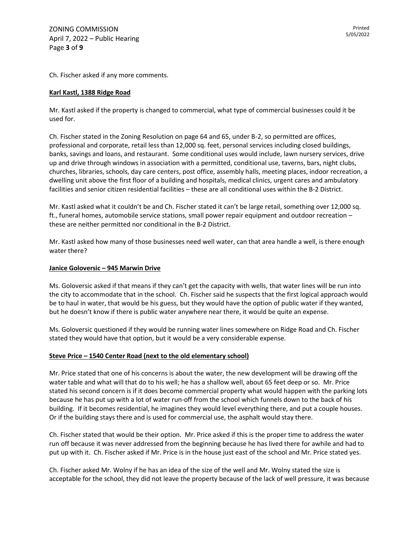Ch. Fischer asked if any more comments.

## **Karl Kastl, 1388 Ridge Road**

Mr. Kastl asked if the property is changed to commercial, what type of commercial businesses could it be used for.

Ch. Fischer stated in the Zoning Resolution on page 64 and 65, under B-2, so permitted are offices, professional and corporate, retail less than 12,000 sq. feet, personal services including closed buildings, banks, savings and loans, and restaurant. Some conditional uses would include, lawn nursery services, drive up and drive through windows in association with a permitted, conditional use, taverns, bars, night clubs, churches, libraries, schools, day care centers, post office, assembly halls, meeting places, indoor recreation, a dwelling unit above the first floor of a building and hospitals, medical clinics, urgent cares and ambulatory facilities and senior citizen residential facilities – these are all conditional uses within the B-2 District.

Mr. Kastl asked what it couldn't be and Ch. Fischer stated it can't be large retail, something over 12,000 sq. ft., funeral homes, automobile service stations, small power repair equipment and outdoor recreation – these are neither permitted nor conditional in the B-2 District.

Mr. Kastl asked how many of those businesses need well water, can that area handle a well, is there enough water there?

#### **Janice Goloversic – 945 Marwin Drive**

Ms. Goloversic asked if that means if they can't get the capacity with wells, that water lines will be run into the city to accommodate that in the school. Ch. Fischer said he suspects that the first logical approach would be to haul in water, that would be his guess, but they would have the option of public water if they wanted, but he doesn't know if there is public water anywhere near there, it would be quite an expense.

Ms. Goloversic questioned if they would be running water lines somewhere on Ridge Road and Ch. Fischer stated they would have that option, but it would be a very considerable expense.

#### **Steve Price – 1540 Center Road (next to the old elementary school)**

Mr. Price stated that one of his concerns is about the water, the new development will be drawing off the water table and what will that do to his well; he has a shallow well, about 65 feet deep or so. Mr. Price stated his second concern is if it does become commercial property what would happen with the parking lots because he has put up with a lot of water run-off from the school which funnels down to the back of his building. If it becomes residential, he imagines they would level everything there, and put a couple houses. Or if the building stays there and is used for commercial use, the asphalt would stay there.

Ch. Fischer stated that would be their option. Mr. Price asked if this is the proper time to address the water run off because it was never addressed from the beginning because he has lived there for awhile and had to put up with it. Ch. Fischer asked if Mr. Price is in the house just east of the school and Mr. Price stated yes.

Ch. Fischer asked Mr. Wolny if he has an idea of the size of the well and Mr. Wolny stated the size is acceptable for the school, they did not leave the property because of the lack of well pressure, it was because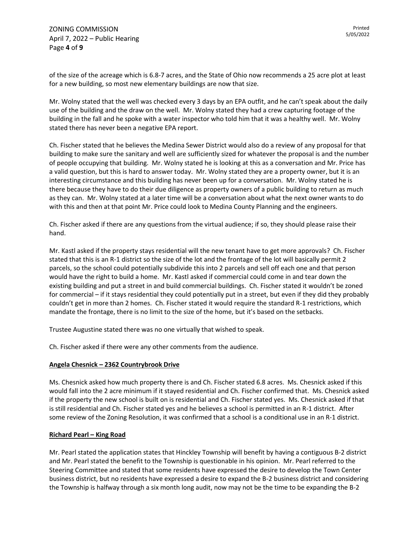of the size of the acreage which is 6.8-7 acres, and the State of Ohio now recommends a 25 acre plot at least for a new building, so most new elementary buildings are now that size.

Mr. Wolny stated that the well was checked every 3 days by an EPA outfit, and he can't speak about the daily use of the building and the draw on the well. Mr. Wolny stated they had a crew capturing footage of the building in the fall and he spoke with a water inspector who told him that it was a healthy well. Mr. Wolny stated there has never been a negative EPA report.

Ch. Fischer stated that he believes the Medina Sewer District would also do a review of any proposal for that building to make sure the sanitary and well are sufficiently sized for whatever the proposal is and the number of people occupying that building. Mr. Wolny stated he is looking at this as a conversation and Mr. Price has a valid question, but this is hard to answer today. Mr. Wolny stated they are a property owner, but it is an interesting circumstance and this building has never been up for a conversation. Mr. Wolny stated he is there because they have to do their due diligence as property owners of a public building to return as much as they can. Mr. Wolny stated at a later time will be a conversation about what the next owner wants to do with this and then at that point Mr. Price could look to Medina County Planning and the engineers.

Ch. Fischer asked if there are any questions from the virtual audience; if so, they should please raise their hand.

Mr. Kastl asked if the property stays residential will the new tenant have to get more approvals? Ch. Fischer stated that this is an R-1 district so the size of the lot and the frontage of the lot will basically permit 2 parcels, so the school could potentially subdivide this into 2 parcels and sell off each one and that person would have the right to build a home. Mr. Kastl asked if commercial could come in and tear down the existing building and put a street in and build commercial buildings. Ch. Fischer stated it wouldn't be zoned for commercial – if it stays residential they could potentially put in a street, but even if they did they probably couldn't get in more than 2 homes. Ch. Fischer stated it would require the standard R-1 restrictions, which mandate the frontage, there is no limit to the size of the home, but it's based on the setbacks.

Trustee Augustine stated there was no one virtually that wished to speak.

Ch. Fischer asked if there were any other comments from the audience.

#### **Angela Chesnick – 2362 Countrybrook Drive**

Ms. Chesnick asked how much property there is and Ch. Fischer stated 6.8 acres. Ms. Chesnick asked if this would fall into the 2 acre minimum if it stayed residential and Ch. Fischer confirmed that. Ms. Chesnick asked if the property the new school is built on is residential and Ch. Fischer stated yes. Ms. Chesnick asked if that is still residential and Ch. Fischer stated yes and he believes a school is permitted in an R-1 district. After some review of the Zoning Resolution, it was confirmed that a school is a conditional use in an R-1 district.

#### **Richard Pearl – King Road**

Mr. Pearl stated the application states that Hinckley Township will benefit by having a contiguous B-2 district and Mr. Pearl stated the benefit to the Township is questionable in his opinion. Mr. Pearl referred to the Steering Committee and stated that some residents have expressed the desire to develop the Town Center business district, but no residents have expressed a desire to expand the B-2 business district and considering the Township is halfway through a six month long audit, now may not be the time to be expanding the B-2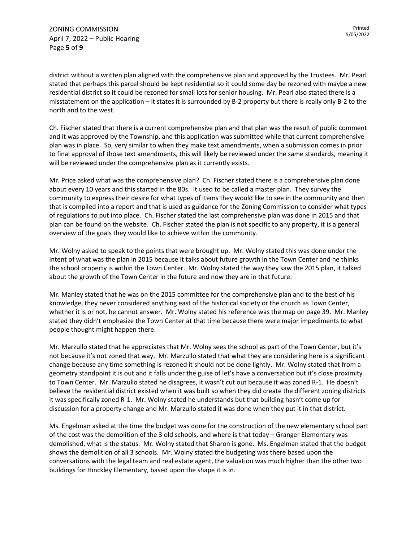ZONING COMMISSION April 7, 2022 – Public Hearing Page **5** of **9**

district without a written plan aligned with the comprehensive plan and approved by the Trustees. Mr. Pearl stated that perhaps this parcel should be kept residential so it could some day be rezoned with maybe a new residential district so it could be rezoned for small lots for senior housing. Mr. Pearl also stated there is a misstatement on the application – it states it is surrounded by B-2 property but there is really only B-2 to the north and to the west.

Ch. Fischer stated that there is a current comprehensive plan and that plan was the result of public comment and it was approved by the Township, and this application was submitted while that current comprehensive plan was in place. So, very similar to when they make text amendments, when a submission comes in prior to final approval of those text amendments, this will likely be reviewed under the same standards, meaning it will be reviewed under the comprehensive plan as it currently exists.

Mr. Price asked what was the comprehensive plan? Ch. Fischer stated there is a comprehensive plan done about every 10 years and this started in the 80s. It used to be called a master plan. They survey the community to express their desire for what types of items they would like to see in the community and then that is compiled into a report and that is used as guidance for the Zoning Commission to consider what types of regulations to put into place. Ch. Fischer stated the last comprehensive plan was done in 2015 and that plan can be found on the website. Ch. Fischer stated the plan is not specific to any property, it is a general overview of the goals they would like to achieve within the community.

Mr. Wolny asked to speak to the points that were brought up. Mr. Wolny stated this was done under the intent of what was the plan in 2015 because it talks about future growth in the Town Center and he thinks the school property is within the Town Center. Mr. Wolny stated the way they saw the 2015 plan, it talked about the growth of the Town Center in the future and now they are in that future.

Mr. Manley stated that he was on the 2015 committee for the comprehensive plan and to the best of his knowledge, they never considered anything east of the historical society or the church as Town Center, whether it is or not, he cannot answer. Mr. Wolny stated his reference was the map on page 39. Mr. Manley stated they didn't emphasize the Town Center at that time because there were major impediments to what people thought might happen there.

Mr. Marzullo stated that he appreciates that Mr. Wolny sees the school as part of the Town Center, but it's not because it's not zoned that way. Mr. Marzullo stated that what they are considering here is a significant change because any time something is rezoned it should not be done lightly. Mr. Wolny stated that from a geometry standpoint it is out and it falls under the guise of let's have a conversation but it's close proximity to Town Center. Mr. Marzullo stated he disagrees, it wasn't cut out because it was zoned R-1. He doesn't believe the residential district existed when it was built so when they did create the different zoning districts it was specifically zoned R-1. Mr. Wolny stated he understands but that building hasn't come up for discussion for a property change and Mr. Marzullo stated it was done when they put it in that district.

Ms. Engelman asked at the time the budget was done for the construction of the new elementary school part of the cost was the demolition of the 3 old schools, and where is that today – Granger Elementary was demolished, what is the status. Mr. Wolny stated that Sharon is gone. Ms. Engelman stated that the budget shows the demolition of all 3 schools. Mr. Wolny stated the budgeting was there based upon the conversations with the legal team and real estate agent, the valuation was much higher than the other two buildings for Hinckley Elementary, based upon the shape it is in.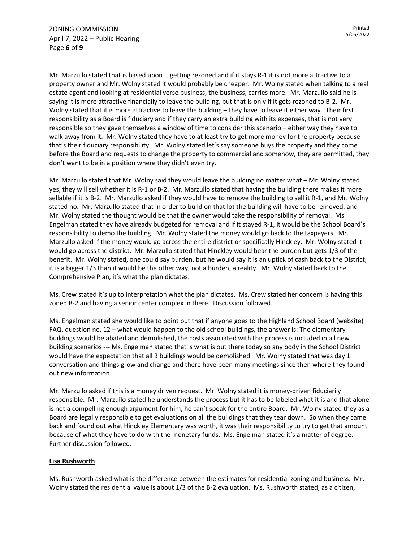Mr. Marzullo stated that is based upon it getting rezoned and if it stays R-1 it is not more attractive to a property owner and Mr. Wolny stated it would probably be cheaper. Mr. Wolny stated when talking to a real estate agent and looking at residential verse business, the business, carries more. Mr. Marzullo said he is saying it is more attractive financially to leave the building, but that is only if it gets rezoned to B-2. Mr. Wolny stated that it is more attractive to leave the building – they have to leave it either way. Their first responsibility as a Board is fiduciary and if they carry an extra building with its expenses, that is not very responsible so they gave themselves a window of time to consider this scenario – either way they have to walk away from it. Mr. Wolny stated they have to at least try to get more money for the property because that's their fiduciary responsibility. Mr. Wolny stated let's say someone buys the property and they come before the Board and requests to change the property to commercial and somehow, they are permitted, they don't want to be in a position where they didn't even try.

Mr. Marzullo stated that Mr. Wolny said they would leave the building no matter what – Mr. Wolny stated yes, they will sell whether it is R-1 or B-2. Mr. Marzullo stated that having the building there makes it more sellable if it is B-2. Mr. Marzullo asked if they would have to remove the building to sell it R-1, and Mr. Wolny stated no. Mr. Marzullo stated that in order to build on that lot the building will have to be removed, and Mr. Wolny stated the thought would be that the owner would take the responsibility of removal. Ms. Engelman stated they have already budgeted for removal and if it stayed R-1, it would be the School Board's responsibility to demo the building. Mr. Wolny stated the money would go back to the taxpayers. Mr. Marzullo asked if the money would go across the entire district or specifically Hinckley. Mr. Wolny stated it would go across the district. Mr. Marzullo stated that Hinckley would bear the burden but gets 1/3 of the benefit. Mr. Wolny stated, one could say burden, but he would say it is an uptick of cash back to the District, it is a bigger 1/3 than it would be the other way, not a burden, a reality. Mr. Wolny stated back to the Comprehensive Plan, it's what the plan dictates.

Ms. Crew stated it's up to interpretation what the plan dictates. Ms. Crew stated her concern is having this zoned B-2 and having a senior center complex in there. Discussion followed.

Ms. Engelman stated she would like to point out that if anyone goes to the Highland School Board (website) FAQ, question no. 12 – what would happen to the old school buildings, the answer is: The elementary buildings would be abated and demolished, the costs associated with this process is included in all new building scenarios --- Ms. Engelman stated that is what is out there today so any body in the School District would have the expectation that all 3 buildings would be demolished. Mr. Wolny stated that was day 1 conversation and things grow and change and there have been many meetings since then where they found out new information.

Mr. Marzullo asked if this is a money driven request. Mr. Wolny stated it is money-driven fiduciarily responsible. Mr. Marzullo stated he understands the process but it has to be labeled what it is and that alone is not a compelling enough argument for him, he can't speak for the entire Board. Mr. Wolny stated they as a Board are legally responsible to get evaluations on all the buildings that they tear down. So when they came back and found out what Hinckley Elementary was worth, it was their responsibility to try to get that amount because of what they have to do with the monetary funds. Ms. Engelman stated it's a matter of degree. Further discussion followed.

# **Lisa Rushworth**

Ms. Rushworth asked what is the difference between the estimates for residential zoning and business. Mr. Wolny stated the residential value is about 1/3 of the B-2 evaluation. Ms. Rushworth stated, as a citizen,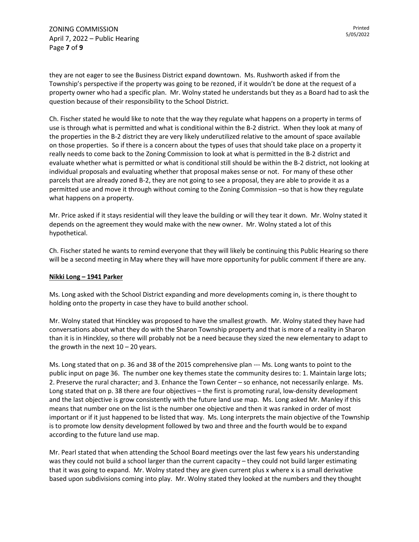they are not eager to see the Business District expand downtown. Ms. Rushworth asked if from the Township's perspective if the property was going to be rezoned, if it wouldn't be done at the request of a property owner who had a specific plan. Mr. Wolny stated he understands but they as a Board had to ask the question because of their responsibility to the School District.

Ch. Fischer stated he would like to note that the way they regulate what happens on a property in terms of use is through what is permitted and what is conditional within the B-2 district. When they look at many of the properties in the B-2 district they are very likely underutilized relative to the amount of space available on those properties. So if there is a concern about the types of uses that should take place on a property it really needs to come back to the Zoning Commission to look at what is permitted in the B-2 district and evaluate whether what is permitted or what is conditional still should be within the B-2 district, not looking at individual proposals and evaluating whether that proposal makes sense or not. For many of these other parcels that are already zoned B-2, they are not going to see a proposal, they are able to provide it as a permitted use and move it through without coming to the Zoning Commission –so that is how they regulate what happens on a property.

Mr. Price asked if it stays residential will they leave the building or will they tear it down. Mr. Wolny stated it depends on the agreement they would make with the new owner. Mr. Wolny stated a lot of this hypothetical.

Ch. Fischer stated he wants to remind everyone that they will likely be continuing this Public Hearing so there will be a second meeting in May where they will have more opportunity for public comment if there are any.

#### **Nikki Long – 1941 Parker**

Ms. Long asked with the School District expanding and more developments coming in, is there thought to holding onto the property in case they have to build another school.

Mr. Wolny stated that Hinckley was proposed to have the smallest growth. Mr. Wolny stated they have had conversations about what they do with the Sharon Township property and that is more of a reality in Sharon than it is in Hinckley, so there will probably not be a need because they sized the new elementary to adapt to the growth in the next  $10 - 20$  years.

Ms. Long stated that on p. 36 and 38 of the 2015 comprehensive plan --- Ms. Long wants to point to the public input on page 36. The number one key themes state the community desires to: 1. Maintain large lots; 2. Preserve the rural character; and 3. Enhance the Town Center – so enhance, not necessarily enlarge. Ms. Long stated that on p. 38 there are four objectives – the first is promoting rural, low-density development and the last objective is grow consistently with the future land use map. Ms. Long asked Mr. Manley if this means that number one on the list is the number one objective and then it was ranked in order of most important or if it just happened to be listed that way. Ms. Long interprets the main objective of the Township is to promote low density development followed by two and three and the fourth would be to expand according to the future land use map.

Mr. Pearl stated that when attending the School Board meetings over the last few years his understanding was they could not build a school larger than the current capacity – they could not build larger estimating that it was going to expand. Mr. Wolny stated they are given current plus x where x is a small derivative based upon subdivisions coming into play. Mr. Wolny stated they looked at the numbers and they thought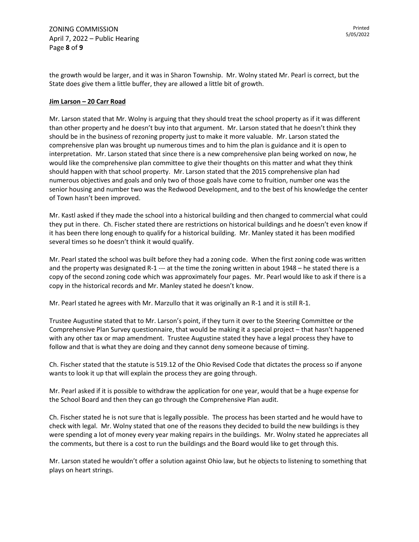ZONING COMMISSION April 7, 2022 – Public Hearing Page **8** of **9**

the growth would be larger, and it was in Sharon Township. Mr. Wolny stated Mr. Pearl is correct, but the State does give them a little buffer, they are allowed a little bit of growth.

### **Jim Larson – 20 Carr Road**

Mr. Larson stated that Mr. Wolny is arguing that they should treat the school property as if it was different than other property and he doesn't buy into that argument. Mr. Larson stated that he doesn't think they should be in the business of rezoning property just to make it more valuable. Mr. Larson stated the comprehensive plan was brought up numerous times and to him the plan is guidance and it is open to interpretation. Mr. Larson stated that since there is a new comprehensive plan being worked on now, he would like the comprehensive plan committee to give their thoughts on this matter and what they think should happen with that school property. Mr. Larson stated that the 2015 comprehensive plan had numerous objectives and goals and only two of those goals have come to fruition, number one was the senior housing and number two was the Redwood Development, and to the best of his knowledge the center of Town hasn't been improved.

Mr. Kastl asked if they made the school into a historical building and then changed to commercial what could they put in there. Ch. Fischer stated there are restrictions on historical buildings and he doesn't even know if it has been there long enough to qualify for a historical building. Mr. Manley stated it has been modified several times so he doesn't think it would qualify.

Mr. Pearl stated the school was built before they had a zoning code. When the first zoning code was written and the property was designated R-1 --- at the time the zoning written in about 1948 – he stated there is a copy of the second zoning code which was approximately four pages. Mr. Pearl would like to ask if there is a copy in the historical records and Mr. Manley stated he doesn't know.

Mr. Pearl stated he agrees with Mr. Marzullo that it was originally an R-1 and it is still R-1.

Trustee Augustine stated that to Mr. Larson's point, if they turn it over to the Steering Committee or the Comprehensive Plan Survey questionnaire, that would be making it a special project – that hasn't happened with any other tax or map amendment. Trustee Augustine stated they have a legal process they have to follow and that is what they are doing and they cannot deny someone because of timing.

Ch. Fischer stated that the statute is 519.12 of the Ohio Revised Code that dictates the process so if anyone wants to look it up that will explain the process they are going through.

Mr. Pearl asked if it is possible to withdraw the application for one year, would that be a huge expense for the School Board and then they can go through the Comprehensive Plan audit.

Ch. Fischer stated he is not sure that is legally possible. The process has been started and he would have to check with legal. Mr. Wolny stated that one of the reasons they decided to build the new buildings is they were spending a lot of money every year making repairs in the buildings. Mr. Wolny stated he appreciates all the comments, but there is a cost to run the buildings and the Board would like to get through this.

Mr. Larson stated he wouldn't offer a solution against Ohio law, but he objects to listening to something that plays on heart strings.